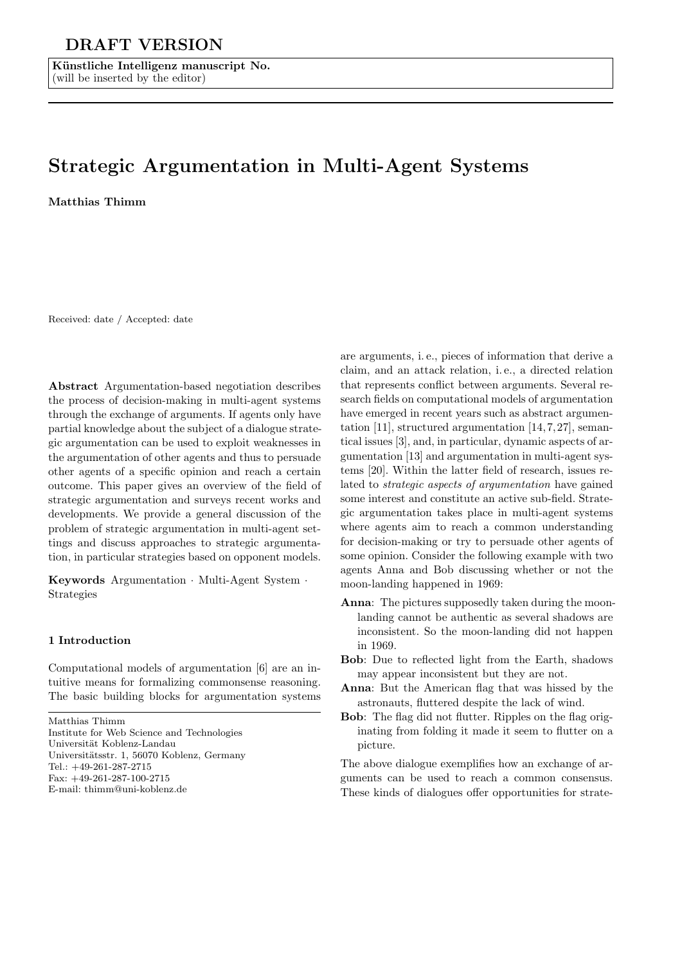Künstliche Intelligenz manuscript No. (will be inserted by the editor)

# Strategic Argumentation in Multi-Agent Systems

Matthias Thimm

Received: date / Accepted: date

Abstract Argumentation-based negotiation describes the process of decision-making in multi-agent systems through the exchange of arguments. If agents only have partial knowledge about the subject of a dialogue strategic argumentation can be used to exploit weaknesses in the argumentation of other agents and thus to persuade other agents of a specific opinion and reach a certain outcome. This paper gives an overview of the field of strategic argumentation and surveys recent works and developments. We provide a general discussion of the problem of strategic argumentation in multi-agent settings and discuss approaches to strategic argumentation, in particular strategies based on opponent models.

Keywords Argumentation · Multi-Agent System · Strategies

# 1 Introduction

Computational models of argumentation [6] are an intuitive means for formalizing commonsense reasoning. The basic building blocks for argumentation systems

Matthias Thimm Institute for Web Science and Technologies Universität Koblenz-Landau Universitätsstr. 1, 56070 Koblenz, Germany Tel.: +49-261-287-2715 Fax: +49-261-287-100-2715 E-mail: thimm@uni-koblenz.de

are arguments, i. e., pieces of information that derive a claim, and an attack relation, i. e., a directed relation that represents conflict between arguments. Several research fields on computational models of argumentation have emerged in recent years such as abstract argumentation [11], structured argumentation [14, 7, 27], semantical issues [3], and, in particular, dynamic aspects of argumentation [13] and argumentation in multi-agent systems [20]. Within the latter field of research, issues related to strategic aspects of argumentation have gained some interest and constitute an active sub-field. Strategic argumentation takes place in multi-agent systems where agents aim to reach a common understanding for decision-making or try to persuade other agents of some opinion. Consider the following example with two agents Anna and Bob discussing whether or not the moon-landing happened in 1969:

- Anna: The pictures supposedly taken during the moonlanding cannot be authentic as several shadows are inconsistent. So the moon-landing did not happen in 1969.
- Bob: Due to reflected light from the Earth, shadows may appear inconsistent but they are not.
- Anna: But the American flag that was hissed by the astronauts, fluttered despite the lack of wind.
- Bob: The flag did not flutter. Ripples on the flag originating from folding it made it seem to flutter on a picture.

The above dialogue exemplifies how an exchange of arguments can be used to reach a common consensus. These kinds of dialogues offer opportunities for strate-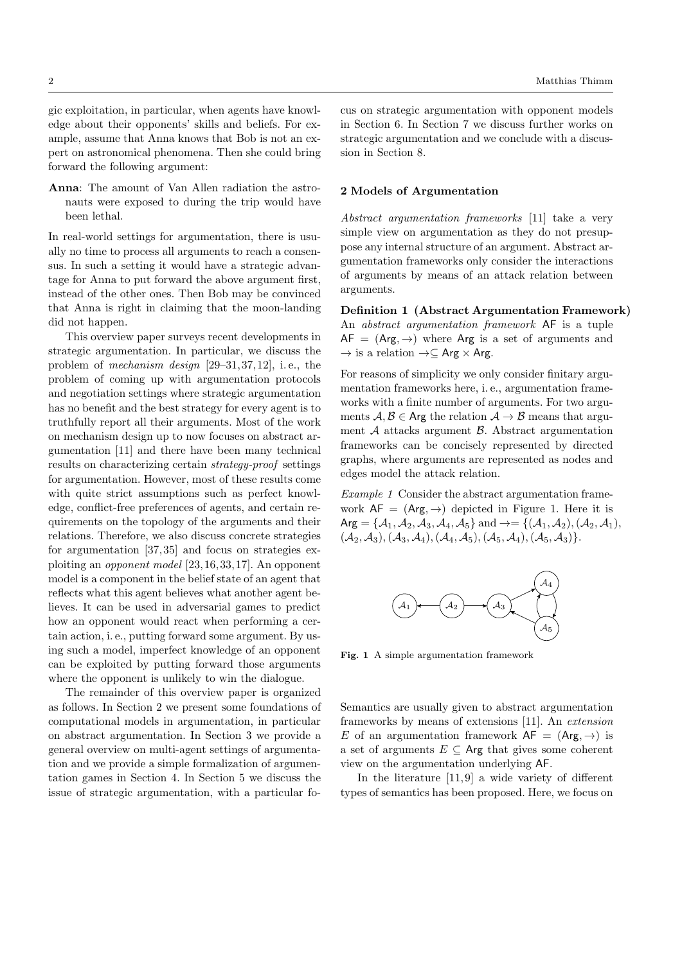gic exploitation, in particular, when agents have knowledge about their opponents' skills and beliefs. For example, assume that Anna knows that Bob is not an expert on astronomical phenomena. Then she could bring forward the following argument:

Anna: The amount of Van Allen radiation the astronauts were exposed to during the trip would have  $b$ een lethal.

In real-world settings for argumentation, there is usually no time to process all arguments to reach a consensus. In such a setting it would have a strategic advantage for Anna to put forward the above argument first, instead of the other ones. Then Bob may be convinced that Anna is right in claiming that the moon-landing did not happen.

This overview paper surveys recent developments in strategic argumentation. In particular, we discuss the problem of *mechanism design* [29-31,37,12], i.e., the problem of coming up with argumentation protocols and negotiation settings where strategic argumentation has no benefit and the best strategy for every agent is to truthfully report all their arguments. Most of the work on mechanism design up to now focuses on abstract argumentation [11] and there have been many technical results on characterizing certain  $strategy$ -proof settings for argumentation. However, most of these results come with quite strict assumptions such as perfect knowledge, conflict-free preferences of agents, and certain requirements on the topology of the arguments and their relations. Therefore, we also discuss concrete strategies for argumentation  $[37, 35]$  and focus on strategies exploiting an *opponent model*  $[23, 16, 33, 17]$ . An opponent model is a component in the belief state of an agent that reflects what this agent believes what another agent believes. It can be used in adversarial games to predict how an opponent would react when performing a certain action, i.e., putting forward some argument. By using such a model, imperfect knowledge of an opponent can be exploited by putting forward those arguments where the opponent is unlikely to win the dialogue.

The remainder of this overview paper is organized as follows. In Section 2 we present some foundations of computational models in argumentation, in particular on abstract argumentation. In Section  $\overline{3}$  we provide a general overview on multi-agent settings of argumenta- $\overrightarrow{C}$  tion and we provide a simple formalization of argumentation games in Section 4. In Section 5 we discuss the issue of strategic argumentation, with a particular fois strategic argumentation, with a particular form

cus on strategic argumentation with opponent models edge about their opponents' skills and beliefs. For ex- in Section 6. In Section 7 we discuss further works on strategic argumentation and we conclude with a discussion in Section 8.

#### 2 Models of Argumentation

Abstract argumentation frameworks [11] take a very simple view on argumentation as they do not presuppose any internal structure of an argument. Abstract argumentation frameworks only consider the interactions of arguments by means of an attack relation between arguments.  $\mathbf{L}^{\mathcal{I}}$ arguments.

Definition 1 (Abstract Argumentation Framework) An *abstract argumentation framework*  $AF$  is a tuple  $AF = (Arg, \rightarrow)$  where Arg is a set of arguments and  $\rightarrow$  is a relation  $\rightarrow \subseteq$  Arg  $\times$  Arg.

 $\overline{a}$  =  $\overline{a}$   $\overline{b}$   $\overline{c}$  argu-<br>For reasons of simplicity we only consider finitary argumentation frameworks here, i.e., argumentation framementation nume works with a finite number of arguments. For two arguments  $A, B \in \text{Arg}$  the relation  $A \to B$  means that arguments  $\lambda$ ,  $\lambda \geq 2$  and relation  $\lambda \geq 2$  means that argumentation ments  $\lambda$  attacks argument  $\beta$ . Abstract argumentation frameworks can be concisely represented by directed graphs, where arguments are represented as nodes and frameworks can be concisely represented by directed edges model the attack relation. graphs, where arguments are represented as nodes and edges model the attack relation.

Example 1 Consider the abstract argumentation frame-Example 1 Consider the abstract argumentation frame-<br>work  $AF = (Arg, \rightarrow)$  depicted in Figure 1. Here it is Arg = { $A_1$ ,  $A_2$ ,  $A_3$ ,  $A_4$ ,  $A_5$ } and  $\rightarrow$  = { $(A_1, A_2)$ ,  $(A_2, A_1)$ ,  $(A_8 = \{A_1, A_2, A_3, A_4, A_5\}$  and  $\ell = \{(\mathcal{A}_1, \mathcal{A}_2), (\mathcal{A}_2, \mathcal{A}_1), (\mathcal{A}_3, \mathcal{A}_4), (\mathcal{A}_4, \mathcal{A}_5), (\mathcal{A}_5, \mathcal{A}_4), (\mathcal{A}_5, \mathcal{A}_3)\}.$  $(\mathcal{A}_2, \mathcal{A}_3),(\mathcal{A}_3, \mathcal{A}_4),(\mathcal{A}_4, \mathcal{A}_5),(\mathcal{A}_5, \mathcal{A}_4),(\mathcal{A}_5, \mathcal{A}_3)f$ 



Fig. 1 A simple argumentation framework Fig. 1 A simple argumentation framework

Semantics are usually given to abstract argumentation Semantics are usually given to abstract argumentation frameworks by means of extensions [11]. An extension frameworks by means of extensions [11]. An extension E of an argumentation framework  $AF = (Arg, \rightarrow)$  is a set of arguments  $E \subseteq \mathsf{Arg}$  that gives some coherent view on the argumentation underlying AF. view on the argumentation underlying AF.

In the literature  $[11, 9]$  a wide variety of different types of semantics has been proposed. Here, we focus on types of semantics has been proposed. Here, we focus on $\mathbf{t}_1$  due to reasons of simplicity  $\mathbf{t}_1$  due to reasons of simplicity  $\mathbf{t}_2$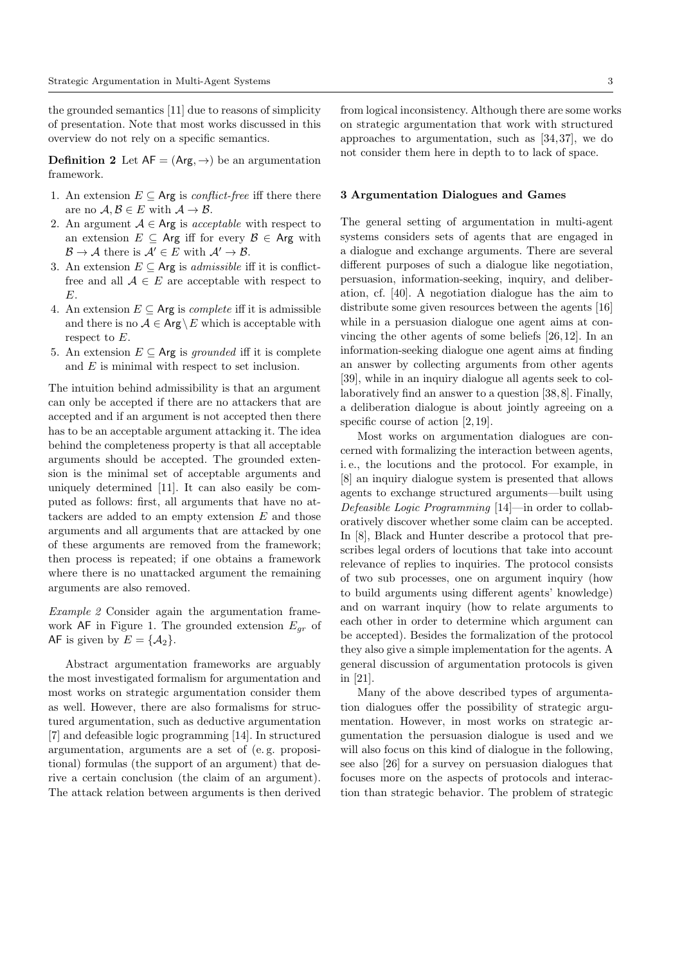the grounded semantics [11] due to reasons of simplicity of presentation. Note that most works discussed in this overview do not rely on a specific semantics.

**Definition 2** Let  $AF = (Arg, \rightarrow)$  be an argumentation framework.

- 1. An extension  $E \subseteq \text{Arg}$  is *conflict-free* iff there there are no  $\mathcal{A}, \mathcal{B} \in E$  with  $\mathcal{A} \to \mathcal{B}$ .
- 2. An argument  $A \in \text{Arg}$  is *acceptable* with respect to an extension  $E \subseteq \mathsf{Arg}$  iff for every  $\mathcal{B} \in \mathsf{Arg}$  with  $\mathcal{B} \to \mathcal{A}$  there is  $\mathcal{A}' \in E$  with  $\mathcal{A}' \to \mathcal{B}$ .
- 3. An extension  $E \subseteq \mathsf{Arg}$  is *admissible* iff it is conflictfree and all  $A \in E$  are acceptable with respect to E.
- 4. An extension  $E \subseteq \text{Arg}$  is *complete* iff it is admissible and there is no  $A \in \text{Arg} \backslash E$  which is acceptable with respect to E.
- 5. An extension  $E \subseteq \mathsf{Arg}$  is grounded iff it is complete and E is minimal with respect to set inclusion.

The intuition behind admissibility is that an argument can only be accepted if there are no attackers that are accepted and if an argument is not accepted then there has to be an acceptable argument attacking it. The idea behind the completeness property is that all acceptable arguments should be accepted. The grounded extension is the minimal set of acceptable arguments and uniquely determined [11]. It can also easily be computed as follows: first, all arguments that have no attackers are added to an empty extension  $E$  and those arguments and all arguments that are attacked by one of these arguments are removed from the framework; then process is repeated; if one obtains a framework where there is no unattacked argument the remaining arguments are also removed.

Example 2 Consider again the argumentation framework AF in Figure 1. The grounded extension  $E_{gr}$  of AF is given by  $E = \{A_2\}.$ 

Abstract argumentation frameworks are arguably the most investigated formalism for argumentation and most works on strategic argumentation consider them as well. However, there are also formalisms for structured argumentation, such as deductive argumentation [7] and defeasible logic programming [14]. In structured argumentation, arguments are a set of (e. g. propositional) formulas (the support of an argument) that derive a certain conclusion (the claim of an argument). The attack relation between arguments is then derived from logical inconsistency. Although there are some works on strategic argumentation that work with structured approaches to argumentation, such as [34, 37], we do not consider them here in depth to to lack of space.

## 3 Argumentation Dialogues and Games

The general setting of argumentation in multi-agent systems considers sets of agents that are engaged in a dialogue and exchange arguments. There are several different purposes of such a dialogue like negotiation, persuasion, information-seeking, inquiry, and deliberation, cf. [40]. A negotiation dialogue has the aim to distribute some given resources between the agents [16] while in a persuasion dialogue one agent aims at convincing the other agents of some beliefs [26, 12]. In an information-seeking dialogue one agent aims at finding an answer by collecting arguments from other agents [39], while in an inquiry dialogue all agents seek to collaboratively find an answer to a question [38, 8]. Finally, a deliberation dialogue is about jointly agreeing on a specific course of action [2, 19].

Most works on argumentation dialogues are concerned with formalizing the interaction between agents, i. e., the locutions and the protocol. For example, in [8] an inquiry dialogue system is presented that allows agents to exchange structured arguments—built using Defeasible Logic Programming [14]—in order to collaboratively discover whether some claim can be accepted. In [8], Black and Hunter describe a protocol that prescribes legal orders of locutions that take into account relevance of replies to inquiries. The protocol consists of two sub processes, one on argument inquiry (how to build arguments using different agents' knowledge) and on warrant inquiry (how to relate arguments to each other in order to determine which argument can be accepted). Besides the formalization of the protocol they also give a simple implementation for the agents. A general discussion of argumentation protocols is given in [21].

Many of the above described types of argumentation dialogues offer the possibility of strategic argumentation. However, in most works on strategic argumentation the persuasion dialogue is used and we will also focus on this kind of dialogue in the following, see also [26] for a survey on persuasion dialogues that focuses more on the aspects of protocols and interaction than strategic behavior. The problem of strategic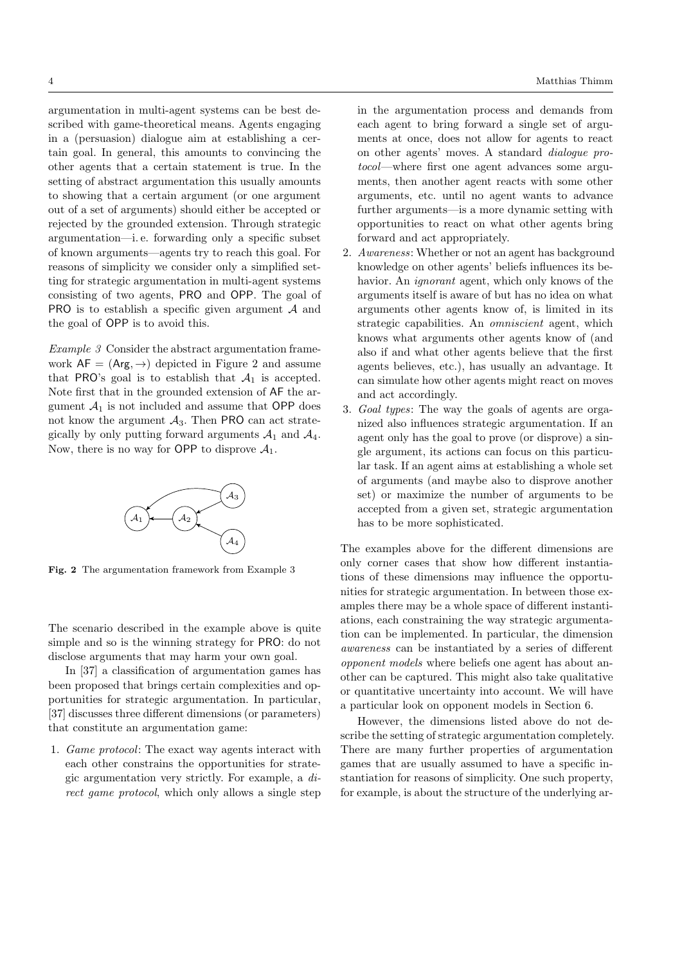argumentation in multi-agent systems can be best described with game-theoretical means. Agents engaging in a (persuasion) dialogue aim at establishing a certain goal. In general, this amounts to convincing the other agents that a certain statement is true. In the  $100$  where first one agent advances some argusetting of abstract argumentation this usually amounts to showing that a certain argument (or one argument out of a set of arguments) should either be accepted or rejected by the grounded extension. Through strategic argumentation—i. e. forwarding only a specific subset argumentation—i. e. forwarding only a specific subset of known arguments—agents try to reach this goal. For of known arguments—agents try to reach this goal. For reasons of simplicity we consider only a simplified setting for strategic argumentation in multi-agent systems consisting of two agents, PRO and OPP. The goal of ting for strategic argumentation in multi-agent systems **PRO** is to establish a specific given argument  $A$  and the goal of OPP is to avoid this. consisting of two agents, PRO and OPP. The goal of the goal of  $\overline{O}(T)$  is to avoid this.

Example 3 Consider the abstract argumentation framework  $AF = (Arg, \rightarrow)$  depicted in Figure 2 and assume that PRO's goal is to establish that  $A_1$  is accepted. that  $\overline{r}$  NO's goal is to establish that  $\overline{A_1}$  is accepted.<br>Note first that in the grounded extension of AF the argument  $A_1$  is not included and assume that OPP does gument  $A_1$  is not included and assume that  $O\Gamma$  does not know the argument  $A_3$ . Then PRO can act strateflow the argument  $A_3$ . Then PRO can act strate-<br>gically by only putting forward arguments  $A_1$  and  $A_4$ . gically by only putting for ward arguments  $A_1$  and  $A_4$ .<br>Now, there is no way for OPP to disprove  $A_1$ . work  $AF = (Aig, \rightarrow)$  depicted in Figure 2 and assume<br>that PRO's goal is to ostablish that A, is accorded Note first that in the grounded extension of AF the ar-Now, there is no way for  $\sigma_{\text{F}}$  to disprove  $\mathcal{A}_1$ .



Fig. 2 The argumentation framework from Example 3 Fig. 2 The argumentation framework from Example 3

The scenario described in the example above is quite The scenario described in the example above is quite simple and so is the winning strategy for PRO: do not simple and so is the winning strategy for PRO: do not disclose arguments that may harm your own goal. disclose arguments that may harm your own goal.

In [37] a classification of argumentation games has In [37] a classification of argumentation games has been proposed that brings certain complexities and op-been proposed that brings certain complexities and opportunities for strategic argumentation. In particular, portunities for strategic argumentation. In particular, [37] discusses three different dimensions (or parameters) that constitute an argumentation game: that constitute an argumentation game:

1. Game protocol: The exact way agents interact with 1. Game protocol: The exact way agents interact with each other constrains the opportunities for strate-each other constrains the opportunities for strategic argumentation very strictly. For example, a di-gic argumentation very strictly. For example, a direct game protocol, which only allows a single step rect game protocol, which only allows a single step

arguments, etc. until no agent wants to advance further arguments—is a more dynamic setting with opportunities to react on what other agents bring <sup>2</sup> awareness: When an accomplished or not an agent has background has background has background has background in the argumentation process and demands from each agent to bring forward a single set of arguments at once, does not allow for agents to react on other agents' moves. A standard dialogue protocol—where first one agent advances some arguments, then another agent reacts with some other forward and act appropriately.

- 2. Awareness: Whether or not an agent has background knowledge on other agents' beliefs influences its behavior. An *ignorant* agent, which only knows of the  $\alpha$  guments to  $\alpha$  is aware of but has no fued on what arguments other agents know of, is limited in its strategic capabilities. All *unitiescent* agent, which knows what arguments other agents know of (and agents believes, etc.), has usually an advantage. It agents believes, etc.), has usually an advantage. It  $\alpha$  simulate how  $\alpha$ ,  $\alpha$  is  $\alpha$  is  $\alpha$  and  $\alpha$  movements in  $\alpha$ can simulate how other agents might react on moves arguments itself is aware of but has no idea on what strategic capabilities. An omniscient agent, which also if and what other agents believe that the first and act accordingly.
- 3. Goal types: The way the goals of agents are orga-3. Goal types: The way the goals of agents are organized also influences strategic argumentation. If an nized also influences strategic argumentation. If an agent only has the goal to prove (or disprove) a sin-agent only has the goal to prove (or disprove) a single argument, its actions can focus on this particu-gle argument, its actions can focus on this particular task. If an agent aims at establishing a whole set lar task. If an agent aims at establishing a whole set of arguments (and maybe also to disprove another of arguments (and maybe also to disprove another set) or maximize the number of arguments to be set) or maximize the number of arguments to be accepted from a given set, strategic argumentation accepted from a given set, strategic argumentation has to be more sophisticated. has to be more sophisticated.

The examples above for the different dimensions are only corner cases that show how different instantiations of these dimensions may influence the opportu-tions of these dimensions may influence the opportunities for strategic argumentation. In between those ex-nities for strategic argumentation. In between those examples there may be a whole space of different instantiations, each constraining the way strategic argumenta-ations, each constraining the way strategic argumentation can be implemented. In particular, the dimension tion can be implemented. In particular, the dimension awareness can be instantiated by a series of different opponent models where beliefs one agent has about an-opponent models where beliefs one agent has about another can be captured. This might also take qualitative other can be captured. This might also take qualitative or quantitative uncertainty into account. We will have or quantitative uncertainty into account. We will have a particular look on opponent models in Section 6. a particular look on opponent models in Section 6.

However, the dimensions listed above do not de-However, the dimensions listed above do not describe the setting of strategic argumentation completely. scribe the setting of strategic argumentation completely. There are many further properties of argumentation There are many further properties of argumentation games that are usually assumed to have a specific in-games that are usually assumed to have a specific instantiation for reasons of simplicity. One such property, stantiation for reasons of simplicity. One such property, for example, is about the structure of the underlying arfor example, is about the structure of the underlying ar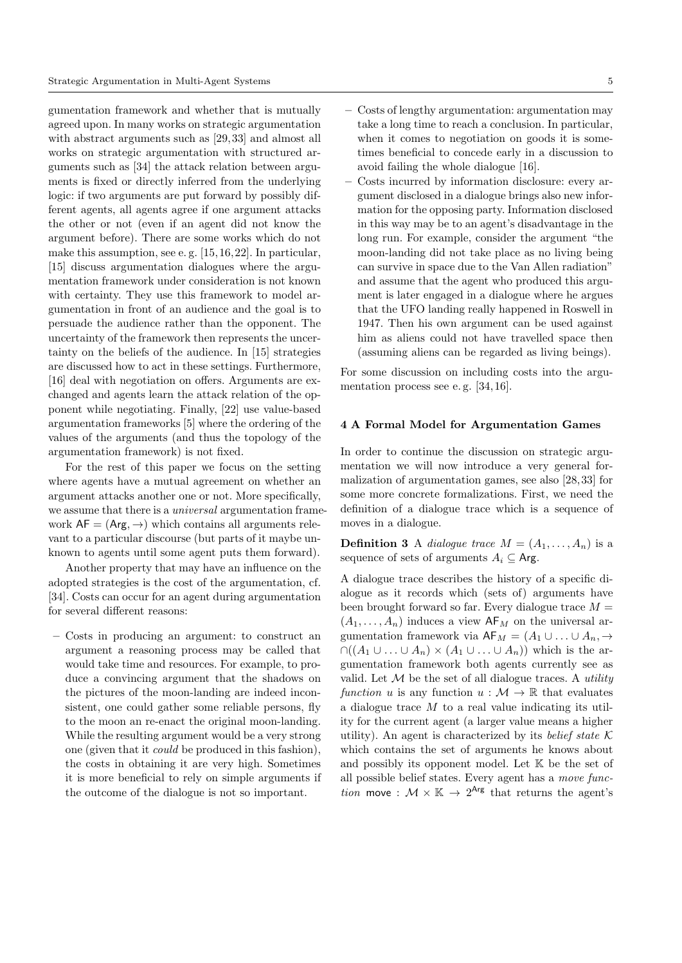gumentation framework and whether that is mutually agreed upon. In many works on strategic argumentation with abstract arguments such as [29, 33] and almost all works on strategic argumentation with structured arguments such as [34] the attack relation between arguments is fixed or directly inferred from the underlying logic: if two arguments are put forward by possibly different agents, all agents agree if one argument attacks the other or not (even if an agent did not know the argument before). There are some works which do not make this assumption, see e. g. [15, 16, 22]. In particular, [15] discuss argumentation dialogues where the argumentation framework under consideration is not known with certainty. They use this framework to model argumentation in front of an audience and the goal is to persuade the audience rather than the opponent. The uncertainty of the framework then represents the uncertainty on the beliefs of the audience. In [15] strategies are discussed how to act in these settings. Furthermore, [16] deal with negotiation on offers. Arguments are exchanged and agents learn the attack relation of the opponent while negotiating. Finally, [22] use value-based argumentation frameworks [5] where the ordering of the values of the arguments (and thus the topology of the argumentation framework) is not fixed.

For the rest of this paper we focus on the setting where agents have a mutual agreement on whether an argument attacks another one or not. More specifically, we assume that there is a *universal* argumentation framework  $AF = (Arg, \rightarrow)$  which contains all arguments relevant to a particular discourse (but parts of it maybe unknown to agents until some agent puts them forward).

Another property that may have an influence on the adopted strategies is the cost of the argumentation, cf. [34]. Costs can occur for an agent during argumentation for several different reasons:

– Costs in producing an argument: to construct an argument a reasoning process may be called that would take time and resources. For example, to produce a convincing argument that the shadows on the pictures of the moon-landing are indeed inconsistent, one could gather some reliable persons, fly to the moon an re-enact the original moon-landing. While the resulting argument would be a very strong one (given that it could be produced in this fashion), the costs in obtaining it are very high. Sometimes it is more beneficial to rely on simple arguments if the outcome of the dialogue is not so important.

– Costs incurred by information disclosure: every argument disclosed in a dialogue brings also new information for the opposing party. Information disclosed in this way may be to an agent's disadvantage in the long run. For example, consider the argument "the moon-landing did not take place as no living being can survive in space due to the Van Allen radiation" and assume that the agent who produced this argument is later engaged in a dialogue where he argues that the UFO landing really happened in Roswell in 1947. Then his own argument can be used against him as aliens could not have travelled space then (assuming aliens can be regarded as living beings).

For some discussion on including costs into the argumentation process see e. g. [34, 16].

## 4 A Formal Model for Argumentation Games

In order to continue the discussion on strategic argumentation we will now introduce a very general formalization of argumentation games, see also [28, 33] for some more concrete formalizations. First, we need the definition of a dialogue trace which is a sequence of moves in a dialogue.

**Definition 3** A dialogue trace  $M = (A_1, \ldots, A_n)$  is a sequence of sets of arguments  $A_i \subseteq \mathsf{Arg}$ .

A dialogue trace describes the history of a specific dialogue as it records which (sets of) arguments have been brought forward so far. Every dialogue trace  $M =$  $(A_1, \ldots, A_n)$  induces a view  $AF_M$  on the universal argumentation framework via  $AF_M = (A_1 \cup ... \cup A_n, \rightarrow)$  $\cap ((A_1 \cup \ldots \cup A_n) \times (A_1 \cup \ldots \cup A_n))$  which is the argumentation framework both agents currently see as valid. Let  $M$  be the set of all dialogue traces. A *utility* function u is any function  $u : \mathcal{M} \to \mathbb{R}$  that evaluates a dialogue trace M to a real value indicating its utility for the current agent (a larger value means a higher utility). An agent is characterized by its *belief state*  $\mathcal K$ which contains the set of arguments he knows about and possibly its opponent model. Let K be the set of all possible belief states. Every agent has a move function move :  $M \times \mathbb{K} \rightarrow 2^{Arg}$  that returns the agent's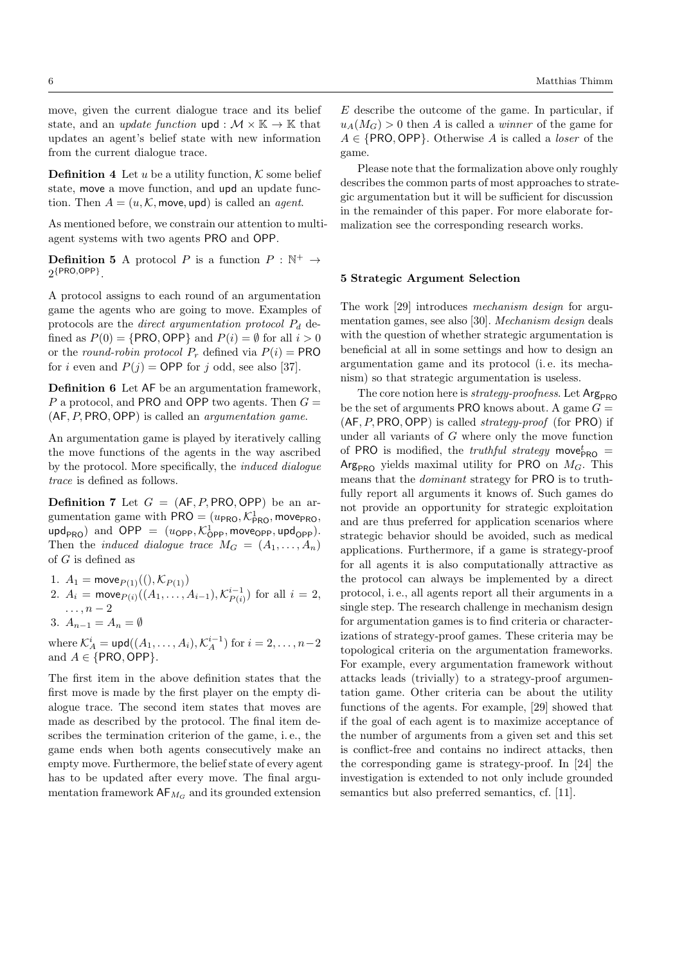move, given the current dialogue trace and its belief state, and an *update function*  $\text{upd}: \mathcal{M} \times \mathbb{K} \to \mathbb{K}$  that updates an agent's belief state with new information from the current dialogue trace.

**Definition 4** Let u be a utility function,  $K$  some belief state, move a move function, and upd an update function. Then  $A = (u, \mathcal{K}, \text{move}, \text{upd})$  is called an *agent*.

As mentioned before, we constrain our attention to multiagent systems with two agents PRO and OPP.

**Definition 5** A protocol P is a function  $P : \mathbb{N}^+ \to$  $2^{\{\mathsf{PRO},\mathsf{OPP}\}}.$ 

A protocol assigns to each round of an argumentation game the agents who are going to move. Examples of protocols are the *direct argumentation protocol*  $P_d$  defined as  $P(0) = \{ \text{PRO}, \text{OPP} \}$  and  $P(i) = \emptyset$  for all  $i > 0$ or the round-robin protocol  $P_r$  defined via  $P(i) = \text{PRO}$ for *i* even and  $P(j) =$  OPP for *j* odd, see also [37].

Definition 6 Let AF be an argumentation framework, P a protocol, and PRO and OPP two agents. Then  $G =$  $(AF, P, PRO, OPP)$  is called an *argumentation game*.

An argumentation game is played by iteratively calling the move functions of the agents in the way ascribed by the protocol. More specifically, the induced dialogue trace is defined as follows.

**Definition 7** Let  $G = (AF, P, PRO, OPP)$  be an argumentation game with  $PRO = (u_{PRO}, \mathcal{K}^1_{PRO}, \text{move}_{PRO},$  ${\sf upd}_{\sf PRO}$ ) and  ${\sf OPP} = (u_{\sf OPP}, {\cal K}^1_{\sf OPP}, {\sf move}_{\sf OPP}, {\sf upd}_{\sf OPP}).$ Then the *induced dialogue trace*  $M_G = (A_1, \ldots, A_n)$ of G is defined as

1.  $A_1 = \text{move}_{P(1)}((), \mathcal{K}_{P(1)})$ 2.  $A_i = \textsf{move}_{P(i)}((A_1, \ldots, A_{i-1}), \mathcal{K}_{P(i)}^{i-1})$  for all  $i = 2$ ,  $\ldots$ ,  $n-2$ 3.  $A_{n-1} = A_n = \emptyset$ 

where  $\mathcal{K}_A^i = \textsf{upd}((A_1, \ldots, A_i), \mathcal{K}_A^{i-1})$  for  $i = 2, \ldots, n-2$ and  $A \in \{ \text{PRO}, \text{OPP} \}.$ 

The first item in the above definition states that the first move is made by the first player on the empty dialogue trace. The second item states that moves are made as described by the protocol. The final item describes the termination criterion of the game, i. e., the game ends when both agents consecutively make an empty move. Furthermore, the belief state of every agent has to be updated after every move. The final argumentation framework  $AF_{M_G}$  and its grounded extension

E describe the outcome of the game. In particular, if  $u_A(M_G) > 0$  then A is called a *winner* of the game for  $A \in \{PRO, OPP\}$ . Otherwise A is called a *loser* of the game.

Please note that the formalization above only roughly describes the common parts of most approaches to strategic argumentation but it will be sufficient for discussion in the remainder of this paper. For more elaborate formalization see the corresponding research works.

#### 5 Strategic Argument Selection

The work [29] introduces mechanism design for argumentation games, see also [30]. Mechanism design deals with the question of whether strategic argumentation is beneficial at all in some settings and how to design an argumentation game and its protocol (i. e. its mechanism) so that strategic argumentation is useless.

The core notion here is *strategy-proofness*. Let  $Arg_{PRO}$ be the set of arguments PRO knows about. A game  $G =$  $(AF, P, PRO, OPP)$  is called *strategy-proof* (for PRO) if under all variants of G where only the move function of PRO is modified, the *truthful strategy* move $_{\text{PRO}}^t$  = Arg<sub>PRO</sub> yields maximal utility for PRO on  $M<sub>G</sub>$ . This means that the dominant strategy for PRO is to truthfully report all arguments it knows of. Such games do not provide an opportunity for strategic exploitation and are thus preferred for application scenarios where strategic behavior should be avoided, such as medical applications. Furthermore, if a game is strategy-proof for all agents it is also computationally attractive as the protocol can always be implemented by a direct protocol, i. e., all agents report all their arguments in a single step. The research challenge in mechanism design for argumentation games is to find criteria or characterizations of strategy-proof games. These criteria may be topological criteria on the argumentation frameworks. For example, every argumentation framework without attacks leads (trivially) to a strategy-proof argumentation game. Other criteria can be about the utility functions of the agents. For example, [29] showed that if the goal of each agent is to maximize acceptance of the number of arguments from a given set and this set is conflict-free and contains no indirect attacks, then the corresponding game is strategy-proof. In [24] the investigation is extended to not only include grounded semantics but also preferred semantics, cf. [11].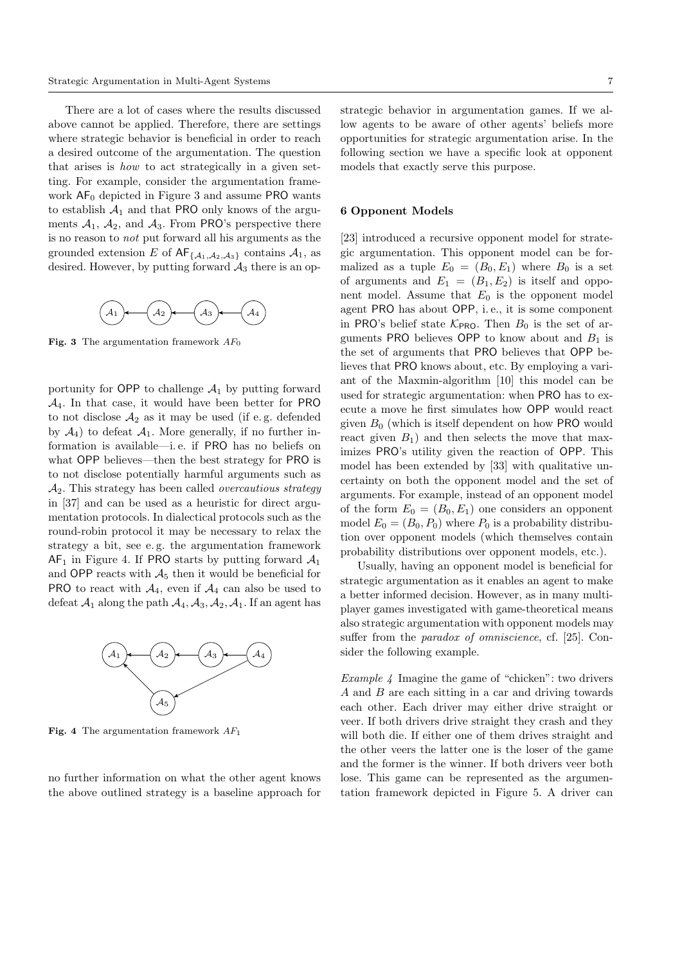There are a lot of cases where the results discussed above cannot be applied. Therefore, there are settings where strategic behavior is beneficial in order to reach a desired outcome of the argumentation. The question that arises is how to act strategically in a given setting. For example, consider the argumentation framework  $AF_0$  depicted in Figure 3 and assume PRO wants to establish  $A_1$  and that PRO only knows of the arguments  $A_1$ ,  $A_2$ , and  $A_3$ . From PRO's perspective there is no reason to not put forward all his arguments as the grounded extension E of  $AF_{\{A_1, A_2, A_3\}}$  contains  $A_1$ , as desired. However, by putting forward  $A_3$  there is an op-



**Fig. 3** The argumentation framework  $AF_0$ 

portunity for OPP to challenge  $A_1$  by putting forward portunity for  $\sigma_{\text{P}}$  to challenge  $\lambda_1$  by putting forward  $A_4$ . In that case, it would have been better for PRO  $\lambda_4$ . In that case, it would have been better for PRO by  $\mathcal{A}_4$ ) to defeat  $\mathcal{A}_1$ . More generally, if no further information is available—i. e. if PRO has no beliefs on formation is available—i.e. if PRO has no believes on what OPP believes—then the best strategy for PRO is what OPP beheves—then the best strategy for PRO is A<sub>2</sub>. This strategy has been called *overcautious strategy*  $\mathcal{A}_2$ . This strategy has been called *overcautious strategy*<br>in [37] and such a grad as a heuristic for direct argumentation protocols. In dialectical protocols such as the round-robin protocol it may be necessary to relax the round-robin protocol it may be necessary to relax the mentation protocols. In dialectical protocols such as the round-robin protocol it may be necessary to relax the strategy a bit, see e.g. the argumentation framework  $AF<sub>1</sub>$  in Figure 4. If PRO starts by putting forward  $A<sub>1</sub>$ AFT in Figure 4. If PRO starts by putting forward  $\lambda_1$  and OPP reacts with  $A_5$  then it would be beneficial for PRO to react with  $A_5$  then it would be beneficial for PRO to react with  $A_4$ , even if  $A_4$  can also be used to defeat  $A_1$  along the path  $A_4$ ,  $A_3$ ,  $A_2$ ,  $A_1$ . If an agent has in [37] and can be used as a heuristic for direct argudefeat  $\alpha$  and  $\alpha$  and  $\alpha$  and  $\alpha$  and  $\alpha$ 



**Fig. 4** The argumentation framework  $AF_1$ 

the above outlined strategy is a baseline approach for no further information on what the other agent knows the above outlined strategy is a baseline approach for  $% \mathcal{N}$  strategic behavior in argumentation games. If we allow agents to be aware of other agents' beliefs more opportunities for strategic argumentation arise. In the following section we have a specific look at opponent models that exactly serve this purpose.

## 6 Opponent Models

of arguments and  $E_1 = (B_1, E_2)$  is itself and oppoagent PRO has about OPP, i.e., it is some component in PRO's belief state  $\mathcal{K}_{\text{PRO}}$ . Then  $B_0$  is the set of arguments PRO believes OPP to know about and  $B_1$  is the set of arguments that PRO believes that  $\overrightarrow{OPP}$  believes that PRO knows about, etc. By employing a variant of the Maxmin-algorithm [10] this model can be used for strategic argumentation: when PRO has to execute a move he first simulates how OPP would react given  $B_0$  (which is itself dependent on how PRO would react given  $B_1$ ) and then selects the move that maximizes PRO's utility given the reaction of OPP. This model has been extended by [33] with qualitative uncertainty on both the opponent model and the set of arguments. For example, instead of an opponent model of the form  $E_0 = (B_0, E_1)$  one considers an opponent model  $E_0 = (B_0, P_0)$  where  $P_0$  is a probability distribution over opponent models (which themselves contain probability distributions over opponent models, etc.). nent model. Assume that  $E_0$  is the opponent model [23] introduced a recursive opponent model for strategic argumentation. This opponent model can be formalized as a tuple  $E_0 = (B_0, E_1)$  where  $B_0$  is a set

Usually, having an opponent model is beneficial for strategic argumentation as it enables an agent to make a better informed decision. However, as in many multiplayer games investigated with game-theoretical means also strategic argumentation with opponent models may suffer from the *paradox of omniscience*, cf. [25]. Con-Exact the following example. sider the following example. sider the following example.

Example  $4$  Imagine the game of "chicken": two drivers A and B are each sitting in a car and driving towards each other. Each driver may either drive straight or veer. If both drivers drive straight they crash and they will both die. If either one of them drives straight and the other veers the latter one is the loser of the game and the former is the winner. If both drivers veer both depicted in Figure 5. A driver can be represented as the argumentotion framework donieted in Figure 5 A driver as tation framework depicted in Figure 5. A driver can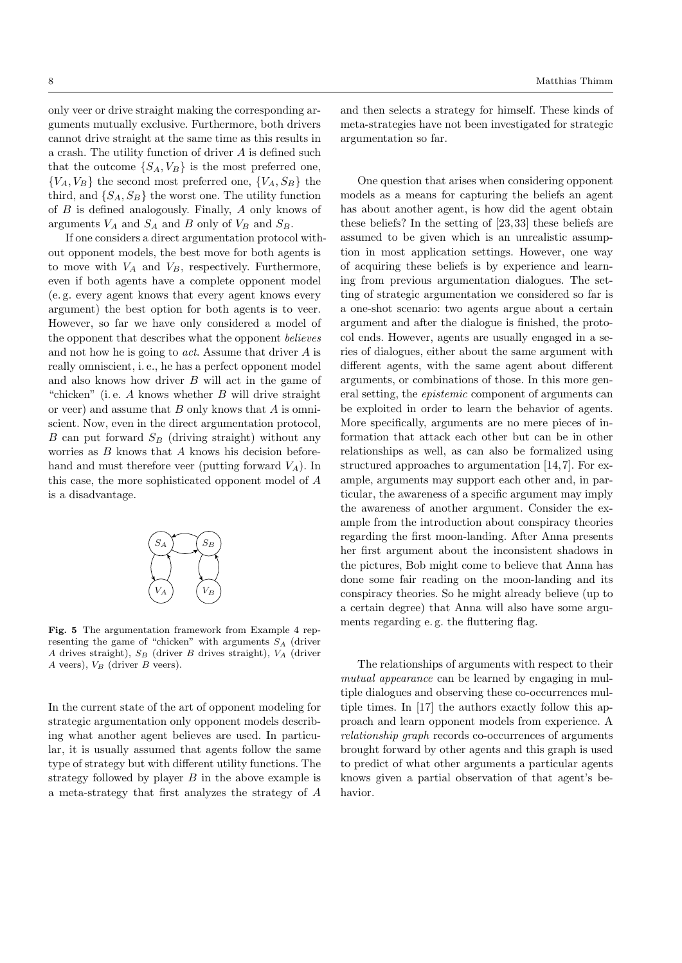only veer or drive straight making the corresponding arguments mutually exclusive. Furthermore, both drivers cannot drive straight at the same time as this results in a crash. The utility function of driver A is defined such that the outcome  $\{S_A, V_B\}$  is the most preferred one,  ${V_A, V_B}$  the second most preferred one,  ${V_A, S_B}$  the third, and  $\{S_A, S_B\}$  the worst one. The utility function of  $B$  is defined analogously. Finally,  $A$  only knows of arguments  $V_A$  and  $S_A$  and B only of  $V_B$  and  $S_B$ .

If one considers a direct argumentation protocol without opponent models, the best move for both agents is to move with  $V_A$  and  $V_B$ , respectively. Furthermore, even if both agents have a complete opponent model (e. g. every agent knows that every agent knows every argument) the best option for both agents is to veer. However, so far we have only considered a model of the opponent that describes what the opponent *believes* and not how he is going to *act*. Assume that driver  $A$  is really omniscient, i.e., he has a perfect opponent model and also knows how driver  $B$  will act in the game of "chicken" (i.e.  $A$  knows whether  $B$  will drive straight or veer) and assume that B only knows that A is omniscient. Now, even in the direct argumentation protocol, B can put forward  $S_B$  (driving straight) without any worries as  $B$  knows that  $\overrightarrow{A}$  knows his decision beforehand and must therefore veer (putting forward  $V_A$ ). In this case, the more sophisticated opponent model of  $A$  $\frac{1}{10}$  is a disadvantage. argument) the best option for both agents is to veer. a one-shot scenario: two agents argue about a certain is a disadvantage.



Fig. 5 The argumentation framework from Example 4 rep-Fig. 5 The argumentation framework from Example 4 representing the game of "chicken" with arguments  $S_A$  (driver A drives straight),  $S_B$  (driver B drives straight),  $V_A$  (driver  $A$  veers),  $V_B$  (driver  $B$  veers).

In the current state of the art of opponent modeling for In the current state of the art of opponent modeling for strategic argumentation only opponent models describ-strategic argumentation only opponent models describing what another agent believes are used. In particu-ing what another agent believes are used. In particular, it is usually assumed that agents follow the same lar, it is usually assumed that agents follow the same type of strategy but with different utility functions. The strategy followed by player  $B$  in the above example is a meta-strategy that first analyzes the strategy of A a meta-strategy that first analyzes the strategy of A  $\alpha$  strategy for  $\alpha$  strategy for  $\alpha$  and then selects a strategy for himself. These kinds of meta-strategies have not been investigated for strategic argumentation so far.

col ends. However, agents are usually engaged in a series of dialogues, either about the same argument with different agents, with the same agent about different arguments, or combinations of those. In this more general setting, the *epistemic* component of arguments can be exploited in order to learn the behavior of agents. More specifically, arguments are no mere pieces of information that attack each other but can be in other relationships as well, as can also be formalized using structured approaches to argumentation [14,7]. For example, arguments may support each other and, in particular, the awareness of a specific argument may imply the awareness of another argument. Consider the example from the introduction about conspiracy theories regarding the first moon-landing. After Anna presents her first argument about the inconsistent shadows in the pictures, Bob might come to believe that Anna has done some fair reading on the moon-landing and its conspiracy theories. So he might already believe (up to a certain degree) that Anna will also have some arguments regarding e.g. the fluttering flag. One question that arises when considering opponent models as a means for capturing the beliefs an agent has about another agent, is how did the agent obtain these beliefs? In the setting of [23, 33] these beliefs are assumed to be given which is an unrealistic assumption in most application settings. However, one way of acquiring these beliefs is by experience and learning from previous argumentation dialogues. The setting of strategic argumentation we considered so far is argument and after the dialogue is finished, the proto-

The relationships of arguments with respect to their mutual appearance can be learned by engaging in multiple dialogues and observing these co-occurrences multiple times. In  $[17]$  the authors exactly follow this approach and learn opponent models from experience. A relationship graph records co-occurrences of arguments knows given a partial observation of that agent's bebrought forward by other agents and this graph is used to predict of what other arguments a particular agents havior.

tiple dialogues and observing these co-occurrences mul-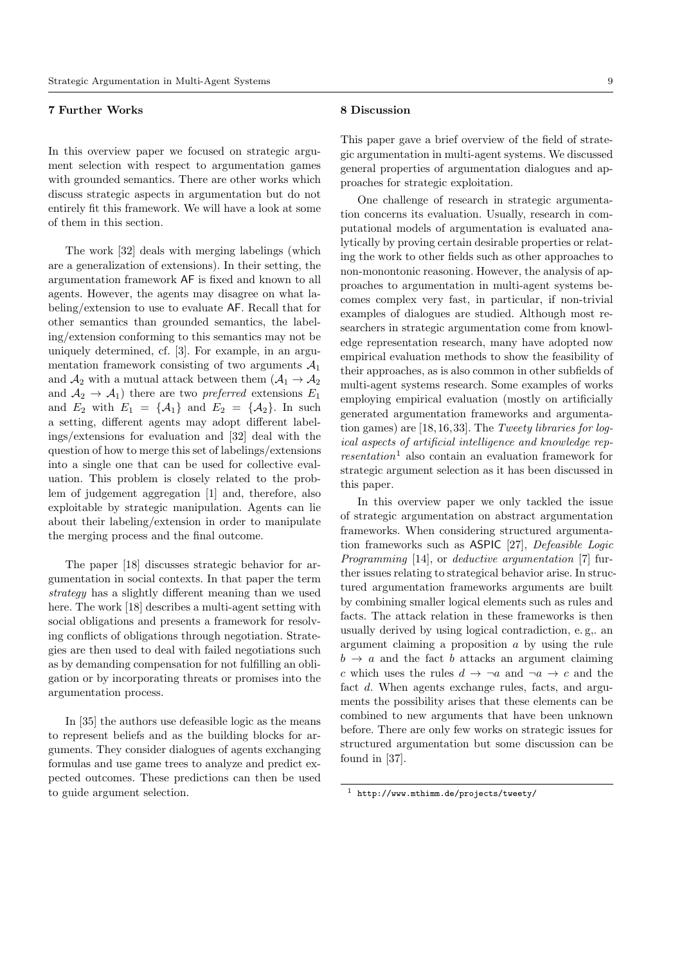# 7 Further Works

In this overview paper we focused on strategic argument selection with respect to argumentation games with grounded semantics. There are other works which discuss strategic aspects in argumentation but do not entirely fit this framework. We will have a look at some of them in this section.

The work [32] deals with merging labelings (which are a generalization of extensions). In their setting, the argumentation framework AF is fixed and known to all agents. However, the agents may disagree on what labeling/extension to use to evaluate AF. Recall that for other semantics than grounded semantics, the labeling/extension conforming to this semantics may not be uniquely determined, cf. [3]. For example, in an argumentation framework consisting of two arguments  $\mathcal{A}_1$ and  $\mathcal{A}_2$  with a mutual attack between them  $(\mathcal{A}_1 \to \mathcal{A}_2)$ and  $A_2 \rightarrow A_1$ ) there are two *preferred* extensions  $E_1$ and  $E_2$  with  $E_1 = {\mathcal{A}_1}$  and  $E_2 = {\mathcal{A}_2}$ . In such a setting, different agents may adopt different labelings/extensions for evaluation and [32] deal with the question of how to merge this set of labelings/extensions into a single one that can be used for collective evaluation. This problem is closely related to the problem of judgement aggregation [1] and, therefore, also exploitable by strategic manipulation. Agents can lie about their labeling/extension in order to manipulate the merging process and the final outcome.

The paper [18] discusses strategic behavior for argumentation in social contexts. In that paper the term strategy has a slightly different meaning than we used here. The work [18] describes a multi-agent setting with social obligations and presents a framework for resolving conflicts of obligations through negotiation. Strategies are then used to deal with failed negotiations such as by demanding compensation for not fulfilling an obligation or by incorporating threats or promises into the argumentation process.

In [35] the authors use defeasible logic as the means to represent beliefs and as the building blocks for arguments. They consider dialogues of agents exchanging formulas and use game trees to analyze and predict expected outcomes. These predictions can then be used to guide argument selection.

## 8 Discussion

This paper gave a brief overview of the field of strategic argumentation in multi-agent systems. We discussed general properties of argumentation dialogues and approaches for strategic exploitation.

One challenge of research in strategic argumentation concerns its evaluation. Usually, research in computational models of argumentation is evaluated analytically by proving certain desirable properties or relating the work to other fields such as other approaches to non-monontonic reasoning. However, the analysis of approaches to argumentation in multi-agent systems becomes complex very fast, in particular, if non-trivial examples of dialogues are studied. Although most researchers in strategic argumentation come from knowledge representation research, many have adopted now empirical evaluation methods to show the feasibility of their approaches, as is also common in other subfields of multi-agent systems research. Some examples of works employing empirical evaluation (mostly on artificially generated argumentation frameworks and argumentation games) are [18, 16, 33]. The Tweety libraries for logical aspects of artificial intelligence and knowledge representation<sup>1</sup> also contain an evaluation framework for strategic argument selection as it has been discussed in this paper.

In this overview paper we only tackled the issue of strategic argumentation on abstract argumentation frameworks. When considering structured argumentation frameworks such as ASPIC [27], Defeasible Logic Programming [14], or deductive argumentation [7] further issues relating to strategical behavior arise. In structured argumentation frameworks arguments are built by combining smaller logical elements such as rules and facts. The attack relation in these frameworks is then usually derived by using logical contradiction, e. g,. an argument claiming a proposition a by using the rule  $b \rightarrow a$  and the fact b attacks an argument claiming c which uses the rules  $d \to \neg a$  and  $\neg a \to c$  and the fact d. When agents exchange rules, facts, and arguments the possibility arises that these elements can be combined to new arguments that have been unknown before. There are only few works on strategic issues for structured argumentation but some discussion can be found in [37].

<sup>1</sup> http://www.mthimm.de/projects/tweety/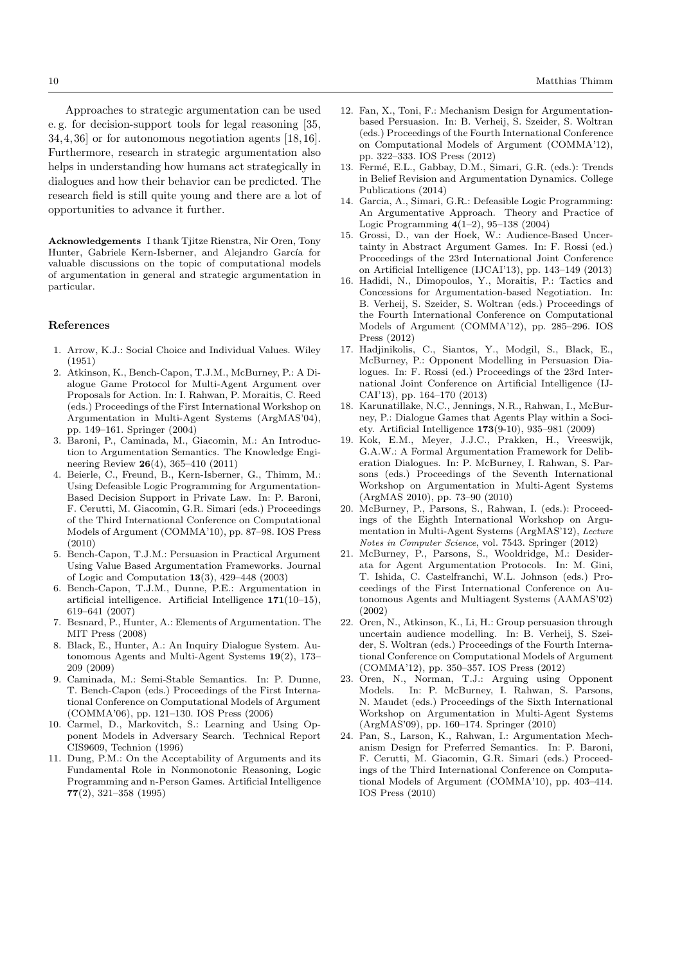Approaches to strategic argumentation can be used e. g. for decision-support tools for legal reasoning [35, 34, 4, 36] or for autonomous negotiation agents [18, 16]. Furthermore, research in strategic argumentation also helps in understanding how humans act strategically in dialogues and how their behavior can be predicted. The research field is still quite young and there are a lot of opportunities to advance it further.

Acknowledgements I thank Tjitze Rienstra, Nir Oren, Tony Hunter, Gabriele Kern-Isberner, and Alejandro García for valuable discussions on the topic of computational models of argumentation in general and strategic argumentation in particular.

#### References

- 1. Arrow, K.J.: Social Choice and Individual Values. Wiley (1951)
- 2. Atkinson, K., Bench-Capon, T.J.M., McBurney, P.: A Dialogue Game Protocol for Multi-Agent Argument over Proposals for Action. In: I. Rahwan, P. Moraitis, C. Reed (eds.) Proceedings of the First International Workshop on Argumentation in Multi-Agent Systems (ArgMAS'04), pp. 149–161. Springer (2004)
- 3. Baroni, P., Caminada, M., Giacomin, M.: An Introduction to Argumentation Semantics. The Knowledge Engineering Review 26(4), 365–410 (2011)
- 4. Beierle, C., Freund, B., Kern-Isberner, G., Thimm, M.: Using Defeasible Logic Programming for Argumentation-Based Decision Support in Private Law. In: P. Baroni, F. Cerutti, M. Giacomin, G.R. Simari (eds.) Proceedings of the Third International Conference on Computational Models of Argument (COMMA'10), pp. 87–98. IOS Press (2010)
- 5. Bench-Capon, T.J.M.: Persuasion in Practical Argument Using Value Based Argumentation Frameworks. Journal of Logic and Computation 13(3), 429–448 (2003)
- 6. Bench-Capon, T.J.M., Dunne, P.E.: Argumentation in artificial intelligence. Artificial Intelligence 171(10–15), 619–641 (2007)
- 7. Besnard, P., Hunter, A.: Elements of Argumentation. The MIT Press (2008)
- 8. Black, E., Hunter, A.: An Inquiry Dialogue System. Autonomous Agents and Multi-Agent Systems 19(2), 173– 209 (2009)
- 9. Caminada, M.: Semi-Stable Semantics. In: P. Dunne, T. Bench-Capon (eds.) Proceedings of the First International Conference on Computational Models of Argument (COMMA'06), pp. 121–130. IOS Press (2006)
- 10. Carmel, D., Markovitch, S.: Learning and Using Opponent Models in Adversary Search. Technical Report CIS9609, Technion (1996)
- 11. Dung, P.M.: On the Acceptability of Arguments and its Fundamental Role in Nonmonotonic Reasoning, Logic Programming and n-Person Games. Artificial Intelligence 77(2), 321–358 (1995)
- 12. Fan, X., Toni, F.: Mechanism Design for Argumentationbased Persuasion. In: B. Verheij, S. Szeider, S. Woltran (eds.) Proceedings of the Fourth International Conference on Computational Models of Argument (COMMA'12), pp. 322–333. IOS Press (2012)
- 13. Ferm´e, E.L., Gabbay, D.M., Simari, G.R. (eds.): Trends in Belief Revision and Argumentation Dynamics. College Publications (2014)
- 14. Garcia, A., Simari, G.R.: Defeasible Logic Programming: An Argumentative Approach. Theory and Practice of Logic Programming 4(1–2), 95–138 (2004)
- 15. Grossi, D., van der Hoek, W.: Audience-Based Uncertainty in Abstract Argument Games. In: F. Rossi (ed.) Proceedings of the 23rd International Joint Conference on Artificial Intelligence (IJCAI'13), pp. 143–149 (2013)
- 16. Hadidi, N., Dimopoulos, Y., Moraitis, P.: Tactics and Concessions for Argumentation-based Negotiation. In: B. Verheij, S. Szeider, S. Woltran (eds.) Proceedings of the Fourth International Conference on Computational Models of Argument (COMMA'12), pp. 285–296. IOS Press (2012)
- 17. Hadjinikolis, C., Siantos, Y., Modgil, S., Black, E., McBurney, P.: Opponent Modelling in Persuasion Dialogues. In: F. Rossi (ed.) Proceedings of the 23rd International Joint Conference on Artificial Intelligence (IJ-CAI'13), pp. 164–170 (2013)
- 18. Karunatillake, N.C., Jennings, N.R., Rahwan, I., McBurney, P.: Dialogue Games that Agents Play within a Society. Artificial Intelligence 173(9-10), 935–981 (2009)
- 19. Kok, E.M., Meyer, J.J.C., Prakken, H., Vreeswijk, G.A.W.: A Formal Argumentation Framework for Deliberation Dialogues. In: P. McBurney, I. Rahwan, S. Parsons (eds.) Proceedings of the Seventh International Workshop on Argumentation in Multi-Agent Systems (ArgMAS 2010), pp. 73–90 (2010)
- 20. McBurney, P., Parsons, S., Rahwan, I. (eds.): Proceedings of the Eighth International Workshop on Argumentation in Multi-Agent Systems (ArgMAS'12), Lecture Notes in Computer Science, vol. 7543. Springer (2012)
- 21. McBurney, P., Parsons, S., Wooldridge, M.: Desiderata for Agent Argumentation Protocols. In: M. Gini, T. Ishida, C. Castelfranchi, W.L. Johnson (eds.) Proceedings of the First International Conference on Autonomous Agents and Multiagent Systems (AAMAS'02) (2002)
- 22. Oren, N., Atkinson, K., Li, H.: Group persuasion through uncertain audience modelling. In: B. Verheij, S. Szeider, S. Woltran (eds.) Proceedings of the Fourth International Conference on Computational Models of Argument (COMMA'12), pp. 350–357. IOS Press (2012)
- 23. Oren, N., Norman, T.J.: Arguing using Opponent Models. In: P. McBurney, I. Rahwan, S. Parsons, N. Maudet (eds.) Proceedings of the Sixth International Workshop on Argumentation in Multi-Agent Systems (ArgMAS'09), pp. 160–174. Springer (2010)
- 24. Pan, S., Larson, K., Rahwan, I.: Argumentation Mechanism Design for Preferred Semantics. In: P. Baroni, F. Cerutti, M. Giacomin, G.R. Simari (eds.) Proceedings of the Third International Conference on Computational Models of Argument (COMMA'10), pp. 403–414. IOS Press (2010)